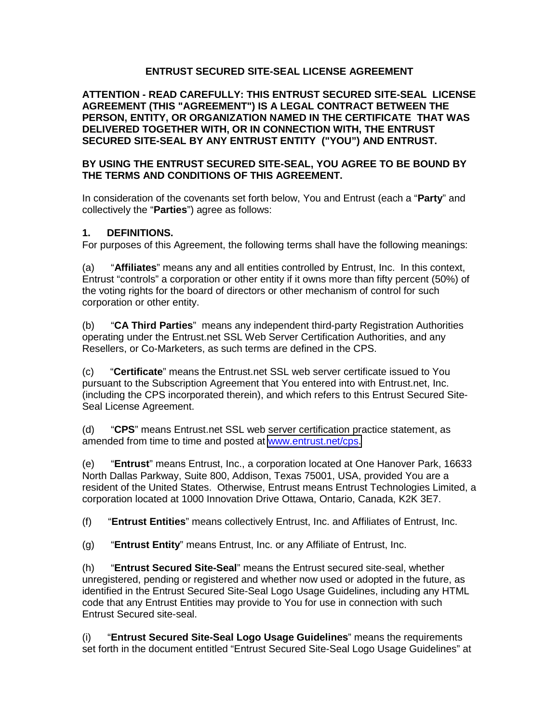## **ENTRUST SECURED SITE-SEAL LICENSE AGREEMENT**

**ATTENTION - READ CAREFULLY: THIS ENTRUST SECURED SITE-SEAL LICENSE AGREEMENT (THIS "AGREEMENT") IS A LEGAL CONTRACT BETWEEN THE PERSON, ENTITY, OR ORGANIZATION NAMED IN THE CERTIFICATE THAT WAS DELIVERED TOGETHER WITH, OR IN CONNECTION WITH, THE ENTRUST SECURED SITE-SEAL BY ANY ENTRUST ENTITY ("YOU") AND ENTRUST.** 

## **BY USING THE ENTRUST SECURED SITE-SEAL, YOU AGREE TO BE BOUND BY THE TERMS AND CONDITIONS OF THIS AGREEMENT.**

In consideration of the covenants set forth below, You and Entrust (each a "**Party**" and collectively the "**Parties**") agree as follows:

## **1. DEFINITIONS.**

For purposes of this Agreement, the following terms shall have the following meanings:

(a) "**Affiliates**" means any and all entities controlled by Entrust, Inc. In this context, Entrust "controls" a corporation or other entity if it owns more than fifty percent (50%) of the voting rights for the board of directors or other mechanism of control for such corporation or other entity.

(b) "**CA Third Parties**" means any independent third-party Registration Authorities operating under the Entrust.net SSL Web Server Certification Authorities, and any Resellers, or Co-Marketers, as such terms are defined in the CPS.

(c) "**Certificate**" means the Entrust.net SSL web server certificate issued to You pursuant to the Subscription Agreement that You entered into with Entrust.net, Inc. (including the CPS incorporated therein), and which refers to this Entrust Secured Site-Seal License Agreement.

(d) "**CPS**" means Entrust.net SSL web server certification practice statement, as amended from time to time and posted at [www.entrust.net/cps.](http://www.entrust.net/cps) 

(e) "**Entrust**" means Entrust, Inc., a corporation located at One Hanover Park, 16633 North Dallas Parkway, Suite 800, Addison, Texas 75001, USA, provided You are a resident of the United States. Otherwise, Entrust means Entrust Technologies Limited, a corporation located at 1000 Innovation Drive Ottawa, Ontario, Canada, K2K 3E7.

(f) "**Entrust Entities**" means collectively Entrust, Inc. and Affiliates of Entrust, Inc.

(g) "**Entrust Entity**" means Entrust, Inc. or any Affiliate of Entrust, Inc.

(h) "**Entrust Secured Site-Seal**" means the Entrust secured site-seal, whether unregistered, pending or registered and whether now used or adopted in the future, as identified in the Entrust Secured Site-Seal Logo Usage Guidelines, including any HTML code that any Entrust Entities may provide to You for use in connection with such Entrust Secured site-seal.

(i) "**Entrust Secured Site-Seal Logo Usage Guidelines**" means the requirements set forth in the document entitled "Entrust Secured Site-Seal Logo Usage Guidelines" at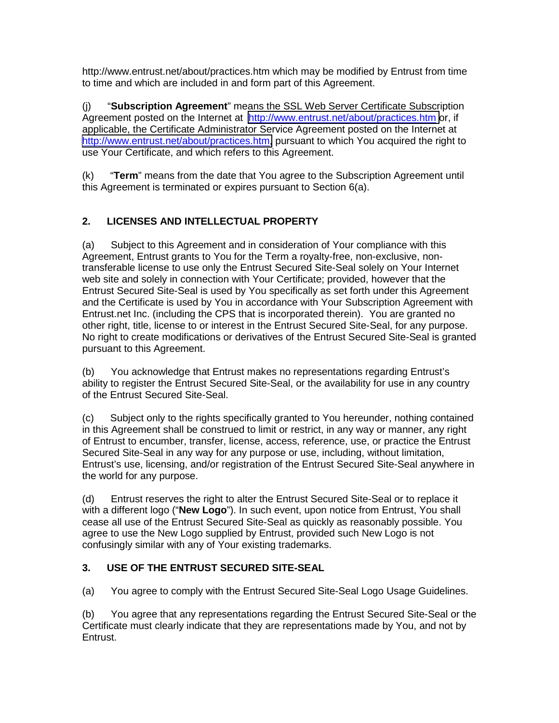http://www.entrust.net/about/practices.htm which may be modified by Entrust from time to time and which are included in and form part of this Agreement.

(j) "**Subscription Agreement**" means the SSL Web Server Certificate Subscription Agreement posted on the Internet at <http://www.entrust.net/about/practices.htm>or, if applicable, the Certificate Administrator Service Agreement posted on the Internet at [http://www.entrust.net/about/practices.htm,](http://www.entrust.net/about/practices.htm) pursuant to which You acquired the right to use Your Certificate, and which refers to this Agreement.

(k) "**Term**" means from the date that You agree to the Subscription Agreement until this Agreement is terminated or expires pursuant to Section 6(a).

# **2. LICENSES AND INTELLECTUAL PROPERTY**

(a) Subject to this Agreement and in consideration of Your compliance with this Agreement, Entrust grants to You for the Term a royalty-free, non-exclusive, nontransferable license to use only the Entrust Secured Site-Seal solely on Your Internet web site and solely in connection with Your Certificate; provided, however that the Entrust Secured Site-Seal is used by You specifically as set forth under this Agreement and the Certificate is used by You in accordance with Your Subscription Agreement with Entrust.net Inc. (including the CPS that is incorporated therein). You are granted no other right, title, license to or interest in the Entrust Secured Site-Seal, for any purpose. No right to create modifications or derivatives of the Entrust Secured Site-Seal is granted pursuant to this Agreement.

(b) You acknowledge that Entrust makes no representations regarding Entrust's ability to register the Entrust Secured Site-Seal, or the availability for use in any country of the Entrust Secured Site-Seal.

(c) Subject only to the rights specifically granted to You hereunder, nothing contained in this Agreement shall be construed to limit or restrict, in any way or manner, any right of Entrust to encumber, transfer, license, access, reference, use, or practice the Entrust Secured Site-Seal in any way for any purpose or use, including, without limitation, Entrust's use, licensing, and/or registration of the Entrust Secured Site-Seal anywhere in the world for any purpose.

(d) Entrust reserves the right to alter the Entrust Secured Site-Seal or to replace it with a different logo ("**New Logo**"). In such event, upon notice from Entrust, You shall cease all use of the Entrust Secured Site-Seal as quickly as reasonably possible. You agree to use the New Logo supplied by Entrust, provided such New Logo is not confusingly similar with any of Your existing trademarks.

# **3. USE OF THE ENTRUST SECURED SITE-SEAL**

(a) You agree to comply with the Entrust Secured Site-Seal Logo Usage Guidelines.

(b) You agree that any representations regarding the Entrust Secured Site-Seal or the Certificate must clearly indicate that they are representations made by You, and not by Entrust.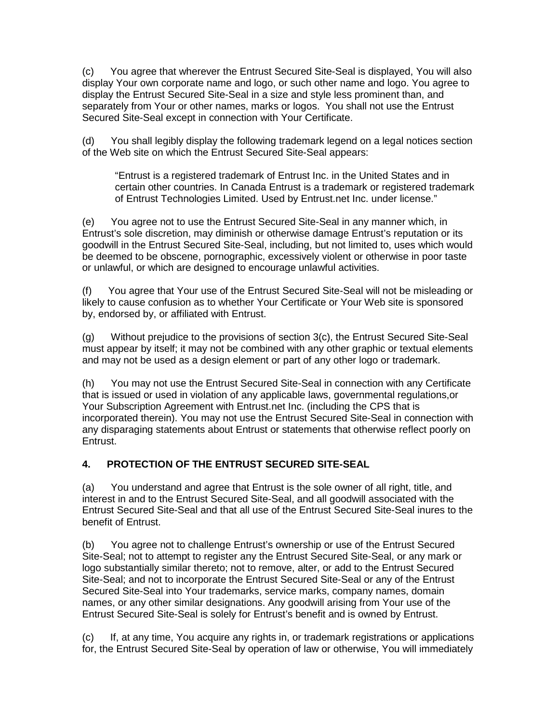(c) You agree that wherever the Entrust Secured Site-Seal is displayed, You will also display Your own corporate name and logo, or such other name and logo. You agree to display the Entrust Secured Site-Seal in a size and style less prominent than, and separately from Your or other names, marks or logos. You shall not use the Entrust Secured Site-Seal except in connection with Your Certificate.

(d) You shall legibly display the following trademark legend on a legal notices section of the Web site on which the Entrust Secured Site-Seal appears:

"Entrust is a registered trademark of Entrust Inc. in the United States and in certain other countries. In Canada Entrust is a trademark or registered trademark of Entrust Technologies Limited. Used by Entrust.net Inc. under license."

(e) You agree not to use the Entrust Secured Site-Seal in any manner which, in Entrust's sole discretion, may diminish or otherwise damage Entrust's reputation or its goodwill in the Entrust Secured Site-Seal, including, but not limited to, uses which would be deemed to be obscene, pornographic, excessively violent or otherwise in poor taste or unlawful, or which are designed to encourage unlawful activities.

(f) You agree that Your use of the Entrust Secured Site-Seal will not be misleading or likely to cause confusion as to whether Your Certificate or Your Web site is sponsored by, endorsed by, or affiliated with Entrust.

(g) Without prejudice to the provisions of section 3(c), the Entrust Secured Site-Seal must appear by itself; it may not be combined with any other graphic or textual elements and may not be used as a design element or part of any other logo or trademark.

(h) You may not use the Entrust Secured Site-Seal in connection with any Certificate that is issued or used in violation of any applicable laws, governmental regulations,or Your Subscription Agreement with Entrust.net Inc. (including the CPS that is incorporated therein). You may not use the Entrust Secured Site-Seal in connection with any disparaging statements about Entrust or statements that otherwise reflect poorly on Entrust.

# **4. PROTECTION OF THE ENTRUST SECURED SITE-SEAL**

(a) You understand and agree that Entrust is the sole owner of all right, title, and interest in and to the Entrust Secured Site-Seal, and all goodwill associated with the Entrust Secured Site-Seal and that all use of the Entrust Secured Site-Seal inures to the benefit of Entrust.

(b) You agree not to challenge Entrust's ownership or use of the Entrust Secured Site-Seal; not to attempt to register any the Entrust Secured Site-Seal, or any mark or logo substantially similar thereto; not to remove, alter, or add to the Entrust Secured Site-Seal; and not to incorporate the Entrust Secured Site-Seal or any of the Entrust Secured Site-Seal into Your trademarks, service marks, company names, domain names, or any other similar designations. Any goodwill arising from Your use of the Entrust Secured Site-Seal is solely for Entrust's benefit and is owned by Entrust.

(c) If, at any time, You acquire any rights in, or trademark registrations or applications for, the Entrust Secured Site-Seal by operation of law or otherwise, You will immediately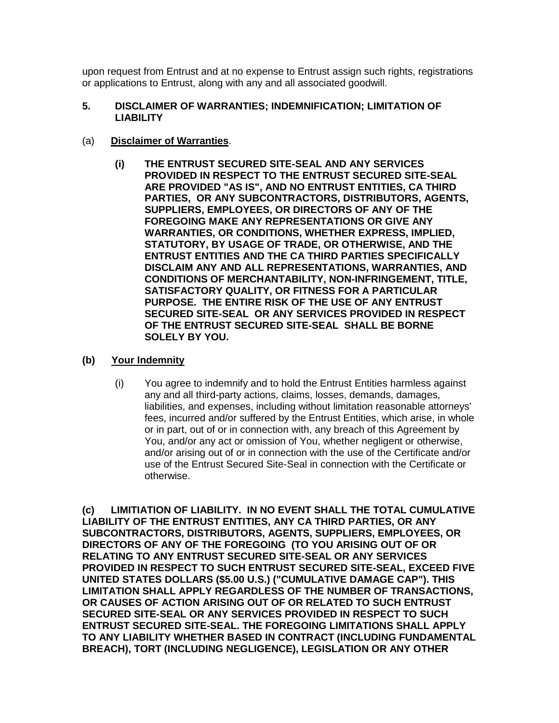upon request from Entrust and at no expense to Entrust assign such rights, registrations or applications to Entrust, along with any and all associated goodwill.

#### **5. DISCLAIMER OF WARRANTIES; INDEMNIFICATION; LIMITATION OF LIABILITY**

## (a) **Disclaimer of Warranties**.

**(i) THE ENTRUST SECURED SITE-SEAL AND ANY SERVICES PROVIDED IN RESPECT TO THE ENTRUST SECURED SITE-SEAL ARE PROVIDED "AS IS", AND NO ENTRUST ENTITIES, CA THIRD PARTIES, OR ANY SUBCONTRACTORS, DISTRIBUTORS, AGENTS, SUPPLIERS, EMPLOYEES, OR DIRECTORS OF ANY OF THE FOREGOING MAKE ANY REPRESENTATIONS OR GIVE ANY WARRANTIES, OR CONDITIONS, WHETHER EXPRESS, IMPLIED, STATUTORY, BY USAGE OF TRADE, OR OTHERWISE, AND THE ENTRUST ENTITIES AND THE CA THIRD PARTIES SPECIFICALLY DISCLAIM ANY AND ALL REPRESENTATIONS, WARRANTIES, AND CONDITIONS OF MERCHANTABILITY, NON-INFRINGEMENT, TITLE, SATISFACTORY QUALITY, OR FITNESS FOR A PARTICULAR PURPOSE. THE ENTIRE RISK OF THE USE OF ANY ENTRUST SECURED SITE-SEAL OR ANY SERVICES PROVIDED IN RESPECT OF THE ENTRUST SECURED SITE-SEAL SHALL BE BORNE SOLELY BY YOU.** 

## **(b) Your Indemnity**

(i) You agree to indemnify and to hold the Entrust Entities harmless against any and all third-party actions, claims, losses, demands, damages, liabilities, and expenses, including without limitation reasonable attorneys' fees, incurred and/or suffered by the Entrust Entities, which arise, in whole or in part, out of or in connection with, any breach of this Agreement by You, and/or any act or omission of You, whether negligent or otherwise, and/or arising out of or in connection with the use of the Certificate and/or use of the Entrust Secured Site-Seal in connection with the Certificate or otherwise.

**(c) LIMITIATION OF LIABILITY. IN NO EVENT SHALL THE TOTAL CUMULATIVE LIABILITY OF THE ENTRUST ENTITIES, ANY CA THIRD PARTIES, OR ANY SUBCONTRACTORS, DISTRIBUTORS, AGENTS, SUPPLIERS, EMPLOYEES, OR DIRECTORS OF ANY OF THE FOREGOING (TO YOU ARISING OUT OF OR RELATING TO ANY ENTRUST SECURED SITE-SEAL OR ANY SERVICES PROVIDED IN RESPECT TO SUCH ENTRUST SECURED SITE-SEAL, EXCEED FIVE UNITED STATES DOLLARS (\$5.00 U.S.) ("CUMULATIVE DAMAGE CAP"). THIS LIMITATION SHALL APPLY REGARDLESS OF THE NUMBER OF TRANSACTIONS, OR CAUSES OF ACTION ARISING OUT OF OR RELATED TO SUCH ENTRUST SECURED SITE-SEAL OR ANY SERVICES PROVIDED IN RESPECT TO SUCH ENTRUST SECURED SITE-SEAL. THE FOREGOING LIMITATIONS SHALL APPLY TO ANY LIABILITY WHETHER BASED IN CONTRACT (INCLUDING FUNDAMENTAL BREACH), TORT (INCLUDING NEGLIGENCE), LEGISLATION OR ANY OTHER**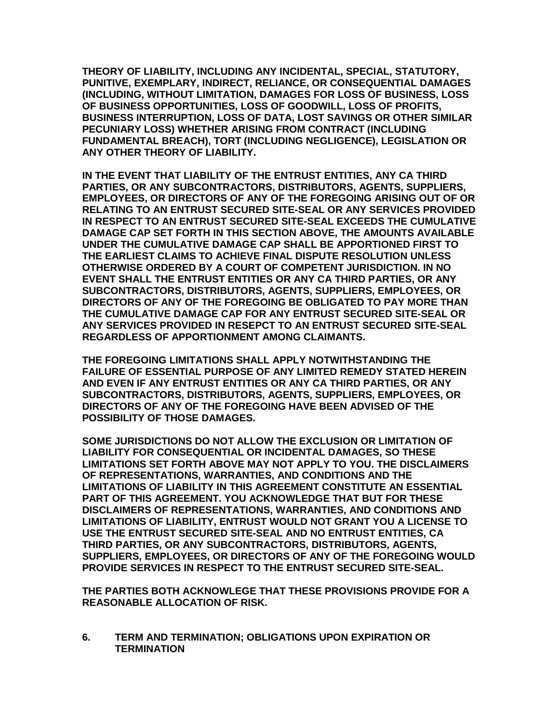**THEORY OF LIABILITY, INCLUDING ANY INCIDENTAL, SPECIAL, STATUTORY, PUNITIVE, EXEMPLARY, INDIRECT, RELIANCE, OR CONSEQUENTIAL DAMAGES (INCLUDING, WITHOUT LIMITATION, DAMAGES FOR LOSS OF BUSINESS, LOSS OF BUSINESS OPPORTUNITIES, LOSS OF GOODWILL, LOSS OF PROFITS, BUSINESS INTERRUPTION, LOSS OF DATA, LOST SAVINGS OR OTHER SIMILAR PECUNIARY LOSS) WHETHER ARISING FROM CONTRACT (INCLUDING FUNDAMENTAL BREACH), TORT (INCLUDING NEGLIGENCE), LEGISLATION OR ANY OTHER THEORY OF LIABILITY.** 

**IN THE EVENT THAT LIABILITY OF THE ENTRUST ENTITIES, ANY CA THIRD PARTIES, OR ANY SUBCONTRACTORS, DISTRIBUTORS, AGENTS, SUPPLIERS, EMPLOYEES, OR DIRECTORS OF ANY OF THE FOREGOING ARISING OUT OF OR RELATING TO AN ENTRUST SECURED SITE-SEAL OR ANY SERVICES PROVIDED IN RESPECT TO AN ENTRUST SECURED SITE-SEAL EXCEEDS THE CUMULATIVE DAMAGE CAP SET FORTH IN THIS SECTION ABOVE, THE AMOUNTS AVAILABLE UNDER THE CUMULATIVE DAMAGE CAP SHALL BE APPORTIONED FIRST TO THE EARLIEST CLAIMS TO ACHIEVE FINAL DISPUTE RESOLUTION UNLESS OTHERWISE ORDERED BY A COURT OF COMPETENT JURISDICTION. IN NO EVENT SHALL THE ENTRUST ENTITIES OR ANY CA THIRD PARTIES, OR ANY SUBCONTRACTORS, DISTRIBUTORS, AGENTS, SUPPLIERS, EMPLOYEES, OR DIRECTORS OF ANY OF THE FOREGOING BE OBLIGATED TO PAY MORE THAN THE CUMULATIVE DAMAGE CAP FOR ANY ENTRUST SECURED SITE-SEAL OR ANY SERVICES PROVIDED IN RESEPCT TO AN ENTRUST SECURED SITE-SEAL REGARDLESS OF APPORTIONMENT AMONG CLAIMANTS.** 

**THE FOREGOING LIMITATIONS SHALL APPLY NOTWITHSTANDING THE FAILURE OF ESSENTIAL PURPOSE OF ANY LIMITED REMEDY STATED HEREIN AND EVEN IF ANY ENTRUST ENTITIES OR ANY CA THIRD PARTIES, OR ANY SUBCONTRACTORS, DISTRIBUTORS, AGENTS, SUPPLIERS, EMPLOYEES, OR DIRECTORS OF ANY OF THE FOREGOING HAVE BEEN ADVISED OF THE POSSIBILITY OF THOSE DAMAGES.** 

**SOME JURISDICTIONS DO NOT ALLOW THE EXCLUSION OR LIMITATION OF LIABILITY FOR CONSEQUENTIAL OR INCIDENTAL DAMAGES, SO THESE LIMITATIONS SET FORTH ABOVE MAY NOT APPLY TO YOU. THE DISCLAIMERS OF REPRESENTATIONS, WARRANTIES, AND CONDITIONS AND THE LIMITATIONS OF LIABILITY IN THIS AGREEMENT CONSTITUTE AN ESSENTIAL PART OF THIS AGREEMENT. YOU ACKNOWLEDGE THAT BUT FOR THESE DISCLAIMERS OF REPRESENTATIONS, WARRANTIES, AND CONDITIONS AND LIMITATIONS OF LIABILITY, ENTRUST WOULD NOT GRANT YOU A LICENSE TO USE THE ENTRUST SECURED SITE-SEAL AND NO ENTRUST ENTITIES, CA THIRD PARTIES, OR ANY SUBCONTRACTORS, DISTRIBUTORS, AGENTS, SUPPLIERS, EMPLOYEES, OR DIRECTORS OF ANY OF THE FOREGOING WOULD PROVIDE SERVICES IN RESPECT TO THE ENTRUST SECURED SITE-SEAL.** 

**THE PARTIES BOTH ACKNOWLEGE THAT THESE PROVISIONS PROVIDE FOR A REASONABLE ALLOCATION OF RISK.** 

**6. TERM AND TERMINATION; OBLIGATIONS UPON EXPIRATION OR TERMINATION**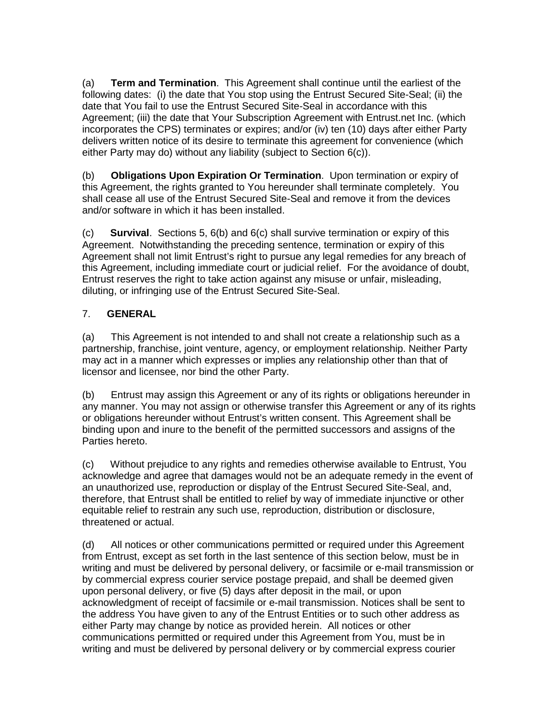(a) **Term and Termination**. This Agreement shall continue until the earliest of the following dates: (i) the date that You stop using the Entrust Secured Site-Seal; (ii) the date that You fail to use the Entrust Secured Site-Seal in accordance with this Agreement; (iii) the date that Your Subscription Agreement with Entrust.net Inc. (which incorporates the CPS) terminates or expires; and/or (iv) ten (10) days after either Party delivers written notice of its desire to terminate this agreement for convenience (which either Party may do) without any liability (subject to Section 6(c)).

(b) **Obligations Upon Expiration Or Termination**. Upon termination or expiry of this Agreement, the rights granted to You hereunder shall terminate completely. You shall cease all use of the Entrust Secured Site-Seal and remove it from the devices and/or software in which it has been installed.

(c) **Survival**. Sections 5, 6(b) and 6(c) shall survive termination or expiry of this Agreement. Notwithstanding the preceding sentence, termination or expiry of this Agreement shall not limit Entrust's right to pursue any legal remedies for any breach of this Agreement, including immediate court or judicial relief. For the avoidance of doubt, Entrust reserves the right to take action against any misuse or unfair, misleading, diluting, or infringing use of the Entrust Secured Site-Seal.

# 7. **GENERAL**

(a) This Agreement is not intended to and shall not create a relationship such as a partnership, franchise, joint venture, agency, or employment relationship. Neither Party may act in a manner which expresses or implies any relationship other than that of licensor and licensee, nor bind the other Party.

(b) Entrust may assign this Agreement or any of its rights or obligations hereunder in any manner. You may not assign or otherwise transfer this Agreement or any of its rights or obligations hereunder without Entrust's written consent. This Agreement shall be binding upon and inure to the benefit of the permitted successors and assigns of the Parties hereto.

(c) Without prejudice to any rights and remedies otherwise available to Entrust, You acknowledge and agree that damages would not be an adequate remedy in the event of an unauthorized use, reproduction or display of the Entrust Secured Site-Seal, and, therefore, that Entrust shall be entitled to relief by way of immediate injunctive or other equitable relief to restrain any such use, reproduction, distribution or disclosure, threatened or actual.

(d) All notices or other communications permitted or required under this Agreement from Entrust, except as set forth in the last sentence of this section below, must be in writing and must be delivered by personal delivery, or facsimile or e-mail transmission or by commercial express courier service postage prepaid, and shall be deemed given upon personal delivery, or five (5) days after deposit in the mail, or upon acknowledgment of receipt of facsimile or e-mail transmission. Notices shall be sent to the address You have given to any of the Entrust Entities or to such other address as either Party may change by notice as provided herein. All notices or other communications permitted or required under this Agreement from You, must be in writing and must be delivered by personal delivery or by commercial express courier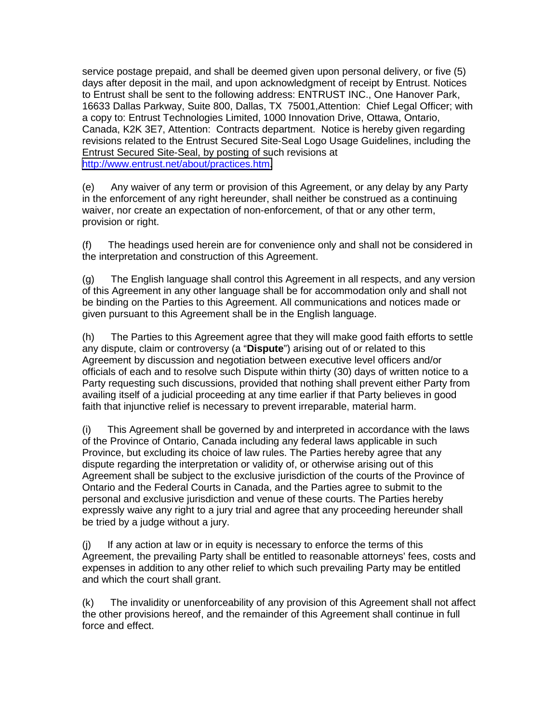service postage prepaid, and shall be deemed given upon personal delivery, or five (5) days after deposit in the mail, and upon acknowledgment of receipt by Entrust. Notices to Entrust shall be sent to the following address: ENTRUST INC., One Hanover Park, 16633 Dallas Parkway, Suite 800, Dallas, TX 75001,Attention: Chief Legal Officer; with a copy to: Entrust Technologies Limited, 1000 Innovation Drive, Ottawa, Ontario, Canada, K2K 3E7, Attention: Contracts department. Notice is hereby given regarding revisions related to the Entrust Secured Site-Seal Logo Usage Guidelines, including the Entrust Secured Site-Seal, by posting of such revisions at [http://www.entrust.net/about/practices.htm.](http://www.entrust.net/about/practices.htm)

(e) Any waiver of any term or provision of this Agreement, or any delay by any Party in the enforcement of any right hereunder, shall neither be construed as a continuing waiver, nor create an expectation of non-enforcement, of that or any other term, provision or right.

(f) The headings used herein are for convenience only and shall not be considered in the interpretation and construction of this Agreement.

(g) The English language shall control this Agreement in all respects, and any version of this Agreement in any other language shall be for accommodation only and shall not be binding on the Parties to this Agreement. All communications and notices made or given pursuant to this Agreement shall be in the English language.

(h) The Parties to this Agreement agree that they will make good faith efforts to settle any dispute, claim or controversy (a "**Dispute**") arising out of or related to this Agreement by discussion and negotiation between executive level officers and/or officials of each and to resolve such Dispute within thirty (30) days of written notice to a Party requesting such discussions, provided that nothing shall prevent either Party from availing itself of a judicial proceeding at any time earlier if that Party believes in good faith that injunctive relief is necessary to prevent irreparable, material harm.

(i) This Agreement shall be governed by and interpreted in accordance with the laws of the Province of Ontario, Canada including any federal laws applicable in such Province, but excluding its choice of law rules. The Parties hereby agree that any dispute regarding the interpretation or validity of, or otherwise arising out of this Agreement shall be subject to the exclusive jurisdiction of the courts of the Province of Ontario and the Federal Courts in Canada, and the Parties agree to submit to the personal and exclusive jurisdiction and venue of these courts. The Parties hereby expressly waive any right to a jury trial and agree that any proceeding hereunder shall be tried by a judge without a jury.

(j) If any action at law or in equity is necessary to enforce the terms of this Agreement, the prevailing Party shall be entitled to reasonable attorneys' fees, costs and expenses in addition to any other relief to which such prevailing Party may be entitled and which the court shall grant.

(k) The invalidity or unenforceability of any provision of this Agreement shall not affect the other provisions hereof, and the remainder of this Agreement shall continue in full force and effect.